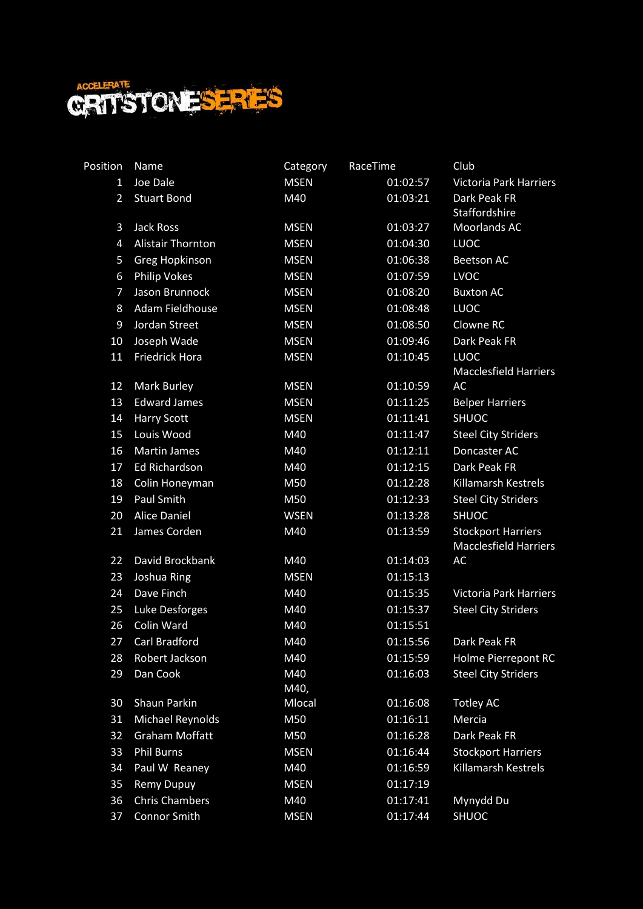

| Position       | Name                     | Category    | RaceTime | Club                                                      |
|----------------|--------------------------|-------------|----------|-----------------------------------------------------------|
| $\mathbf{1}$   | Joe Dale                 | <b>MSEN</b> | 01:02:57 | <b>Victoria Park Harriers</b>                             |
| $\overline{2}$ | <b>Stuart Bond</b>       | M40         | 01:03:21 | Dark Peak FR                                              |
|                |                          |             |          | Staffordshire                                             |
| 3              | Jack Ross                | <b>MSEN</b> | 01:03:27 | Moorlands AC                                              |
| 4              | <b>Alistair Thornton</b> | <b>MSEN</b> | 01:04:30 | <b>LUOC</b>                                               |
| 5              | Greg Hopkinson           | <b>MSEN</b> | 01:06:38 | <b>Beetson AC</b>                                         |
| 6              | <b>Philip Vokes</b>      | <b>MSEN</b> | 01:07:59 | <b>LVOC</b>                                               |
| $\overline{7}$ | Jason Brunnock           | <b>MSEN</b> | 01:08:20 | <b>Buxton AC</b>                                          |
| 8              | Adam Fieldhouse          | <b>MSEN</b> | 01:08:48 | <b>LUOC</b>                                               |
| 9              | Jordan Street            | <b>MSEN</b> | 01:08:50 | Clowne RC                                                 |
| 10             | Joseph Wade              | <b>MSEN</b> | 01:09:46 | Dark Peak FR                                              |
| 11             | <b>Friedrick Hora</b>    | <b>MSEN</b> | 01:10:45 | <b>LUOC</b>                                               |
|                |                          |             |          | <b>Macclesfield Harriers</b>                              |
| 12             | Mark Burley              | <b>MSEN</b> | 01:10:59 | AC                                                        |
| 13             | <b>Edward James</b>      | <b>MSEN</b> | 01:11:25 | <b>Belper Harriers</b>                                    |
| 14             | <b>Harry Scott</b>       | <b>MSEN</b> | 01:11:41 | <b>SHUOC</b>                                              |
| 15             | Louis Wood               | M40         | 01:11:47 | <b>Steel City Striders</b>                                |
| 16             | <b>Martin James</b>      | M40         | 01:12:11 | Doncaster AC                                              |
| 17             | <b>Ed Richardson</b>     | M40         | 01:12:15 | Dark Peak FR                                              |
| 18             | Colin Honeyman           | M50         | 01:12:28 | <b>Killamarsh Kestrels</b>                                |
| 19             | Paul Smith               | M50         | 01:12:33 | <b>Steel City Striders</b>                                |
| 20             | <b>Alice Daniel</b>      | <b>WSEN</b> | 01:13:28 | <b>SHUOC</b>                                              |
| 21             | James Corden             | M40         | 01:13:59 | <b>Stockport Harriers</b><br><b>Macclesfield Harriers</b> |
| 22             | David Brockbank          | M40         | 01:14:03 | AC                                                        |
| 23             | Joshua Ring              | <b>MSEN</b> | 01:15:13 |                                                           |
| 24             | Dave Finch               | M40         | 01:15:35 | Victoria Park Harriers                                    |
| 25             | <b>Luke Desforges</b>    | M40         | 01:15:37 | <b>Steel City Striders</b>                                |
| 26             | Colin Ward               | M40         | 01:15:51 |                                                           |
| 27             | Carl Bradford            | M40         | 01:15:56 | Dark Peak FR                                              |
| 28             | Robert Jackson           | M40         | 01:15:59 | Holme Pierrepont RC                                       |
| 29             | Dan Cook                 | M40         | 01:16:03 | <b>Steel City Striders</b>                                |
|                |                          | M40,        |          |                                                           |
| 30             | Shaun Parkin             | Mlocal      | 01:16:08 | <b>Totley AC</b>                                          |
| 31             | Michael Reynolds         | M50         | 01:16:11 | Mercia                                                    |
| 32             | <b>Graham Moffatt</b>    | M50         | 01:16:28 | Dark Peak FR                                              |
| 33             | <b>Phil Burns</b>        | <b>MSEN</b> | 01:16:44 | <b>Stockport Harriers</b>                                 |
| 34             | Paul W Reaney            | M40         | 01:16:59 | Killamarsh Kestrels                                       |
| 35             | <b>Remy Dupuy</b>        | <b>MSEN</b> | 01:17:19 |                                                           |
| 36             | <b>Chris Chambers</b>    | M40         | 01:17:41 | Mynydd Du                                                 |
| 37             | <b>Connor Smith</b>      | <b>MSEN</b> | 01:17:44 | <b>SHUOC</b>                                              |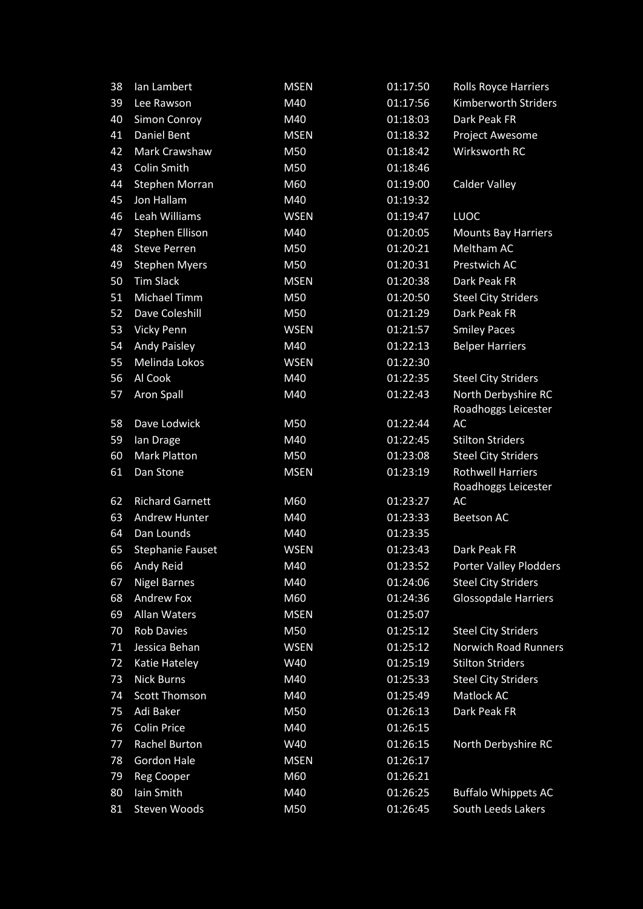| 38 | Ian Lambert             | <b>MSEN</b> | 01:17:50 | <b>Rolls Royce Harriers</b>                     |
|----|-------------------------|-------------|----------|-------------------------------------------------|
| 39 | Lee Rawson              | M40         | 01:17:56 | <b>Kimberworth Striders</b>                     |
| 40 | <b>Simon Conroy</b>     | M40         | 01:18:03 | Dark Peak FR                                    |
| 41 | <b>Daniel Bent</b>      | <b>MSEN</b> | 01:18:32 | Project Awesome                                 |
| 42 | Mark Crawshaw           | M50         | 01:18:42 | Wirksworth RC                                   |
| 43 | <b>Colin Smith</b>      | M50         | 01:18:46 |                                                 |
| 44 | <b>Stephen Morran</b>   | M60         | 01:19:00 | <b>Calder Valley</b>                            |
| 45 | Jon Hallam              | M40         | 01:19:32 |                                                 |
| 46 | Leah Williams           | <b>WSEN</b> | 01:19:47 | <b>LUOC</b>                                     |
| 47 | Stephen Ellison         | M40         | 01:20:05 | <b>Mounts Bay Harriers</b>                      |
| 48 | <b>Steve Perren</b>     | M50         | 01:20:21 | Meltham AC                                      |
| 49 | <b>Stephen Myers</b>    | M50         | 01:20:31 | Prestwich AC                                    |
| 50 | <b>Tim Slack</b>        | <b>MSEN</b> | 01:20:38 | Dark Peak FR                                    |
| 51 | Michael Timm            | M50         | 01:20:50 | <b>Steel City Striders</b>                      |
| 52 | Dave Coleshill          | M50         | 01:21:29 | Dark Peak FR                                    |
| 53 | <b>Vicky Penn</b>       | <b>WSEN</b> | 01:21:57 | <b>Smiley Paces</b>                             |
| 54 | <b>Andy Paisley</b>     | M40         | 01:22:13 | <b>Belper Harriers</b>                          |
| 55 | Melinda Lokos           | <b>WSEN</b> | 01:22:30 |                                                 |
| 56 | Al Cook                 | M40         | 01:22:35 | <b>Steel City Striders</b>                      |
| 57 | <b>Aron Spall</b>       | M40         | 01:22:43 | North Derbyshire RC<br>Roadhoggs Leicester      |
| 58 | Dave Lodwick            | M50         | 01:22:44 | AC                                              |
| 59 | lan Drage               | M40         | 01:22:45 | <b>Stilton Striders</b>                         |
| 60 | <b>Mark Platton</b>     | M50         | 01:23:08 | <b>Steel City Striders</b>                      |
| 61 | Dan Stone               | <b>MSEN</b> | 01:23:19 | <b>Rothwell Harriers</b><br>Roadhoggs Leicester |
| 62 | <b>Richard Garnett</b>  | M60         | 01:23:27 | AC                                              |
| 63 | <b>Andrew Hunter</b>    | M40         | 01:23:33 | <b>Beetson AC</b>                               |
| 64 | Dan Lounds              | M40         | 01:23:35 |                                                 |
| 65 | <b>Stephanie Fauset</b> | <b>WSEN</b> | 01:23:43 | Dark Peak FR                                    |
| 66 | Andy Reid               | M40         | 01:23:52 | Porter Valley Plodders                          |
| 67 | <b>Nigel Barnes</b>     | M40         | 01:24:06 | <b>Steel City Striders</b>                      |
| 68 | <b>Andrew Fox</b>       | M60         | 01:24:36 | <b>Glossopdale Harriers</b>                     |
| 69 | <b>Allan Waters</b>     | <b>MSEN</b> | 01:25:07 |                                                 |
| 70 | <b>Rob Davies</b>       | M50         | 01:25:12 | <b>Steel City Striders</b>                      |
| 71 | Jessica Behan           | <b>WSEN</b> | 01:25:12 | <b>Norwich Road Runners</b>                     |
| 72 | Katie Hateley           | W40         | 01:25:19 | <b>Stilton Striders</b>                         |
| 73 | <b>Nick Burns</b>       | M40         | 01:25:33 | <b>Steel City Striders</b>                      |
| 74 | <b>Scott Thomson</b>    | M40         | 01:25:49 | Matlock AC                                      |
| 75 | <b>Adi Baker</b>        | M50         | 01:26:13 | Dark Peak FR                                    |
| 76 | <b>Colin Price</b>      | M40         | 01:26:15 |                                                 |
| 77 | Rachel Burton           | W40         | 01:26:15 | North Derbyshire RC                             |
| 78 | <b>Gordon Hale</b>      | <b>MSEN</b> | 01:26:17 |                                                 |
| 79 | Reg Cooper              | M60         | 01:26:21 |                                                 |
| 80 | Iain Smith              | M40         | 01:26:25 | <b>Buffalo Whippets AC</b>                      |
| 81 | Steven Woods            | M50         | 01:26:45 | South Leeds Lakers                              |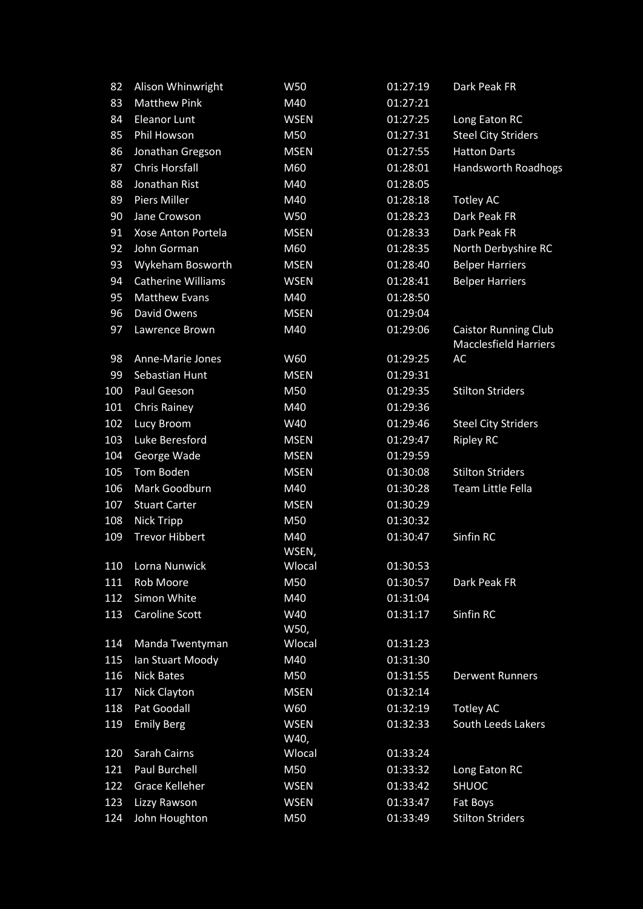| 82  | Alison Whinwright         | W50                 | 01:27:19 | Dark Peak FR                                                |
|-----|---------------------------|---------------------|----------|-------------------------------------------------------------|
| 83  | <b>Matthew Pink</b>       | M40                 | 01:27:21 |                                                             |
| 84  | <b>Eleanor Lunt</b>       | <b>WSEN</b>         | 01:27:25 | Long Eaton RC                                               |
| 85  | Phil Howson               | M50                 | 01:27:31 | <b>Steel City Striders</b>                                  |
| 86  | Jonathan Gregson          | <b>MSEN</b>         | 01:27:55 | <b>Hatton Darts</b>                                         |
| 87  | <b>Chris Horsfall</b>     | M60                 | 01:28:01 | <b>Handsworth Roadhogs</b>                                  |
| 88  | Jonathan Rist             | M40                 | 01:28:05 |                                                             |
| 89  | <b>Piers Miller</b>       | M40                 | 01:28:18 | <b>Totley AC</b>                                            |
| 90  | Jane Crowson              | W50                 | 01:28:23 | Dark Peak FR                                                |
| 91  | Xose Anton Portela        | <b>MSEN</b>         | 01:28:33 | Dark Peak FR                                                |
| 92  | John Gorman               | M60                 | 01:28:35 | North Derbyshire RC                                         |
| 93  | Wykeham Bosworth          | <b>MSEN</b>         | 01:28:40 | <b>Belper Harriers</b>                                      |
| 94  | <b>Catherine Williams</b> | <b>WSEN</b>         | 01:28:41 | <b>Belper Harriers</b>                                      |
| 95  | <b>Matthew Evans</b>      | M40                 | 01:28:50 |                                                             |
| 96  | David Owens               | <b>MSEN</b>         | 01:29:04 |                                                             |
| 97  | Lawrence Brown            | M40                 | 01:29:06 | <b>Caistor Running Club</b><br><b>Macclesfield Harriers</b> |
| 98  | Anne-Marie Jones          | W60                 | 01:29:25 | AC                                                          |
| 99  | Sebastian Hunt            | <b>MSEN</b>         | 01:29:31 |                                                             |
| 100 | Paul Geeson               | M50                 | 01:29:35 | <b>Stilton Striders</b>                                     |
| 101 | <b>Chris Rainey</b>       | M40                 | 01:29:36 |                                                             |
| 102 | Lucy Broom                | W40                 | 01:29:46 | <b>Steel City Striders</b>                                  |
| 103 | Luke Beresford            | <b>MSEN</b>         | 01:29:47 | <b>Ripley RC</b>                                            |
| 104 | George Wade               | <b>MSEN</b>         | 01:29:59 |                                                             |
| 105 | Tom Boden                 | <b>MSEN</b>         | 01:30:08 | <b>Stilton Striders</b>                                     |
| 106 | Mark Goodburn             | M40                 | 01:30:28 | Team Little Fella                                           |
| 107 | <b>Stuart Carter</b>      | <b>MSEN</b>         | 01:30:29 |                                                             |
| 108 | <b>Nick Tripp</b>         | M50                 | 01:30:32 |                                                             |
| 109 | <b>Trevor Hibbert</b>     | M40<br>WSEN,        | 01:30:47 | Sinfin RC                                                   |
| 110 | Lorna Nunwick             | Wlocal              | 01:30:53 |                                                             |
| 111 | Rob Moore                 | M50                 | 01:30:57 | Dark Peak FR                                                |
| 112 | Simon White               | M40                 | 01:31:04 |                                                             |
| 113 | <b>Caroline Scott</b>     | W40<br>W50,         | 01:31:17 | Sinfin RC                                                   |
| 114 | Manda Twentyman           | Wlocal              | 01:31:23 |                                                             |
| 115 | Ian Stuart Moody          | M40                 | 01:31:30 |                                                             |
| 116 | <b>Nick Bates</b>         | M50                 | 01:31:55 | <b>Derwent Runners</b>                                      |
| 117 | <b>Nick Clayton</b>       | <b>MSEN</b>         | 01:32:14 |                                                             |
| 118 | Pat Goodall               | W60                 | 01:32:19 | <b>Totley AC</b>                                            |
| 119 | <b>Emily Berg</b>         | <b>WSEN</b><br>W40, | 01:32:33 | South Leeds Lakers                                          |
| 120 | Sarah Cairns              | Wlocal              | 01:33:24 |                                                             |
| 121 | Paul Burchell             | M50                 | 01:33:32 | Long Eaton RC                                               |
| 122 | <b>Grace Kelleher</b>     | <b>WSEN</b>         | 01:33:42 | <b>SHUOC</b>                                                |
| 123 | Lizzy Rawson              | <b>WSEN</b>         | 01:33:47 | Fat Boys                                                    |
| 124 | John Houghton             | M50                 | 01:33:49 | <b>Stilton Striders</b>                                     |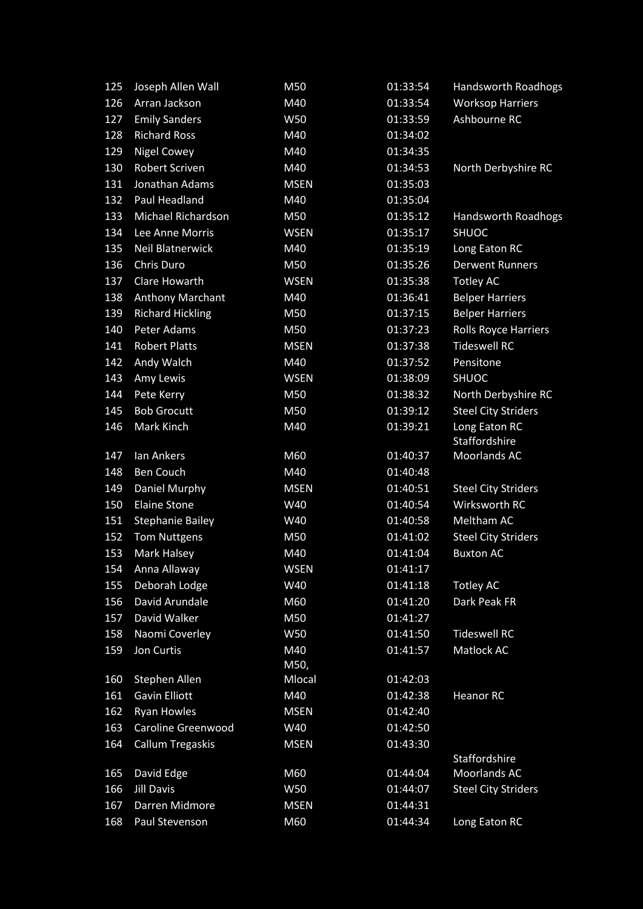| 125 | Joseph Allen Wall       | M50         | 01:33:54 | Handsworth Roadhogs            |
|-----|-------------------------|-------------|----------|--------------------------------|
| 126 | Arran Jackson           | M40         | 01:33:54 | <b>Worksop Harriers</b>        |
| 127 | <b>Emily Sanders</b>    | W50         | 01:33:59 | Ashbourne RC                   |
| 128 | <b>Richard Ross</b>     | M40         | 01:34:02 |                                |
| 129 | <b>Nigel Cowey</b>      | M40         | 01:34:35 |                                |
| 130 | <b>Robert Scriven</b>   | M40         | 01:34:53 | North Derbyshire RC            |
| 131 | Jonathan Adams          | <b>MSEN</b> | 01:35:03 |                                |
| 132 | <b>Paul Headland</b>    | M40         | 01:35:04 |                                |
| 133 | Michael Richardson      | M50         | 01:35:12 | <b>Handsworth Roadhogs</b>     |
| 134 | Lee Anne Morris         | <b>WSEN</b> | 01:35:17 | <b>SHUOC</b>                   |
| 135 | <b>Neil Blatnerwick</b> | M40         | 01:35:19 | Long Eaton RC                  |
| 136 | Chris Duro              | M50         | 01:35:26 | <b>Derwent Runners</b>         |
| 137 | Clare Howarth           | <b>WSEN</b> | 01:35:38 | <b>Totley AC</b>               |
| 138 | <b>Anthony Marchant</b> | M40         | 01:36:41 | <b>Belper Harriers</b>         |
| 139 | <b>Richard Hickling</b> | M50         | 01:37:15 | <b>Belper Harriers</b>         |
| 140 | Peter Adams             | M50         | 01:37:23 | <b>Rolls Royce Harriers</b>    |
| 141 | <b>Robert Platts</b>    | <b>MSEN</b> | 01:37:38 | <b>Tideswell RC</b>            |
| 142 | Andy Walch              | M40         | 01:37:52 | Pensitone                      |
| 143 | Amy Lewis               | <b>WSEN</b> | 01:38:09 | <b>SHUOC</b>                   |
| 144 | Pete Kerry              | M50         | 01:38:32 | North Derbyshire RC            |
| 145 | <b>Bob Grocutt</b>      | M50         | 01:39:12 | <b>Steel City Striders</b>     |
| 146 | Mark Kinch              | M40         | 01:39:21 | Long Eaton RC<br>Staffordshire |
| 147 | Ian Ankers              | M60         | 01:40:37 | Moorlands AC                   |
| 148 | Ben Couch               | M40         | 01:40:48 |                                |
| 149 | Daniel Murphy           | <b>MSEN</b> | 01:40:51 | <b>Steel City Striders</b>     |
| 150 | <b>Elaine Stone</b>     | W40         | 01:40:54 | Wirksworth RC                  |
| 151 | <b>Stephanie Bailey</b> | W40         | 01:40:58 | Meltham AC                     |
| 152 | <b>Tom Nuttgens</b>     | M50         | 01:41:02 | <b>Steel City Striders</b>     |
| 153 | Mark Halsey             | M40         | 01:41:04 | <b>Buxton AC</b>               |
| 154 | Anna Allaway            | <b>WSEN</b> | 01:41:17 |                                |
| 155 | Deborah Lodge           | W40         | 01:41:18 | <b>Totley AC</b>               |
| 156 | David Arundale          | M60         | 01:41:20 | Dark Peak FR                   |
| 157 | David Walker            | M50         | 01:41:27 |                                |
| 158 | Naomi Coverley          | W50         | 01:41:50 | <b>Tideswell RC</b>            |
| 159 | Jon Curtis              | M40<br>M50, | 01:41:57 | Matlock AC                     |
| 160 | Stephen Allen           | Mlocal      | 01:42:03 |                                |
| 161 | <b>Gavin Elliott</b>    | M40         | 01:42:38 | <b>Heanor RC</b>               |
| 162 | <b>Ryan Howles</b>      | <b>MSEN</b> | 01:42:40 |                                |
| 163 | Caroline Greenwood      | W40         | 01:42:50 |                                |
| 164 | <b>Callum Tregaskis</b> | <b>MSEN</b> | 01:43:30 | Staffordshire                  |
| 165 | David Edge              | M60         | 01:44:04 | Moorlands AC                   |
| 166 | <b>Jill Davis</b>       | W50         | 01:44:07 | <b>Steel City Striders</b>     |
| 167 | Darren Midmore          | <b>MSEN</b> | 01:44:31 |                                |
| 168 | Paul Stevenson          | M60         | 01:44:34 | Long Eaton RC                  |